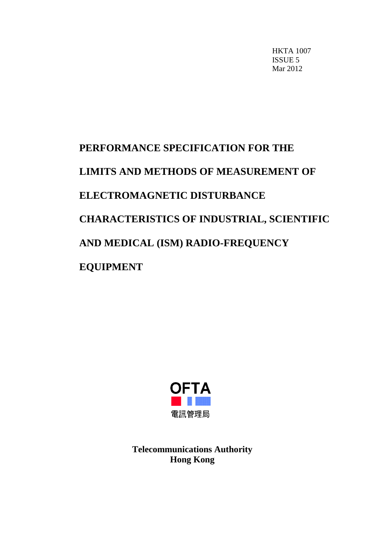HKTA 1007 ISSUE 5 Mar 2012

# **PERFORMANCE SPECIFICATION FOR THE LIMITS AND METHODS OF MEASUREMENT OF ELECTROMAGNETIC DISTURBANCE CHARACTERISTICS OF INDUSTRIAL, SCIENTIFIC AND MEDICAL (ISM) RADIO-FREQUENCY EQUIPMENT**



**Telecommunications Authority Hong Kong**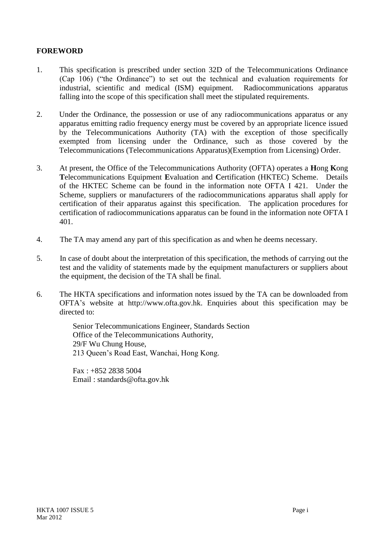#### **FOREWORD**

- 1. This specification is prescribed under section 32D of the Telecommunications Ordinance (Cap 106) ("the Ordinance") to set out the technical and evaluation requirements for industrial, scientific and medical (ISM) equipment. Radiocommunications apparatus falling into the scope of this specification shall meet the stipulated requirements.
- 2. Under the Ordinance, the possession or use of any radiocommunications apparatus or any apparatus emitting radio frequency energy must be covered by an appropriate licence issued by the Telecommunications Authority (TA) with the exception of those specifically exempted from licensing under the Ordinance, such as those covered by the Telecommunications (Telecommunications Apparatus)(Exemption from Licensing) Order.
- 3. At present, the Office of the Telecommunications Authority (OFTA) operates a **H**ong **K**ong **T**elecommunications Equipment **E**valuation and **C**ertification (HKTEC) Scheme. Details of the HKTEC Scheme can be found in the information note OFTA I 421. Under the Scheme, suppliers or manufacturers of the radiocommunications apparatus shall apply for certification of their apparatus against this specification. The application procedures for certification of radiocommunications apparatus can be found in the information note OFTA I 401.
- 4. The TA may amend any part of this specification as and when he deems necessary.
- 5. In case of doubt about the interpretation of this specification, the methods of carrying out the test and the validity of statements made by the equipment manufacturers or suppliers about the equipment, the decision of the TA shall be final.
- 6. The HKTA specifications and information notes issued by the TA can be downloaded from OFTA's website at http://www.ofta.gov.hk. Enquiries about this specification may be directed to:

Senior Telecommunications Engineer, Standards Section Office of the Telecommunications Authority, 29/F Wu Chung House, 213 Queen's Road East, Wanchai, Hong Kong.

Fax : +852 2838 5004 Email : standards@ofta.gov.hk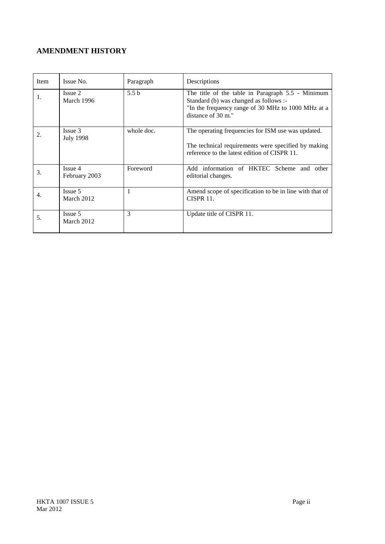# **AMENDMENT HISTORY**

| Item | Issue No.                   | Paragraph        | Descriptions                                                                                                                                                            |
|------|-----------------------------|------------------|-------------------------------------------------------------------------------------------------------------------------------------------------------------------------|
| 1.   | Issue 2<br>March 1996       | 5.5 <sub>b</sub> | The title of the table in Paragraph 5.5 - Minimum<br>Standard (b) was changed as follows :-<br>"In the frequency range of 30 MHz to 1000 MHz at a<br>distance of 30 m." |
| 2.   | Issue 3<br><b>July 1998</b> | whole doc.       | The operating frequencies for ISM use was updated.<br>The technical requirements were specified by making<br>reference to the latest edition of CISPR 11.               |
| 3.   | Issue 4<br>February 2003    | Foreword         | Add information of HKTEC Scheme and other<br>editorial changes.                                                                                                         |
| 4.   | Issue 5<br>March 2012       | 1                | Amend scope of specification to be in line with that of<br><b>CISPR 11.</b>                                                                                             |
| 5.   | Issue 5<br>March 2012       | 3                | Update title of CISPR 11.                                                                                                                                               |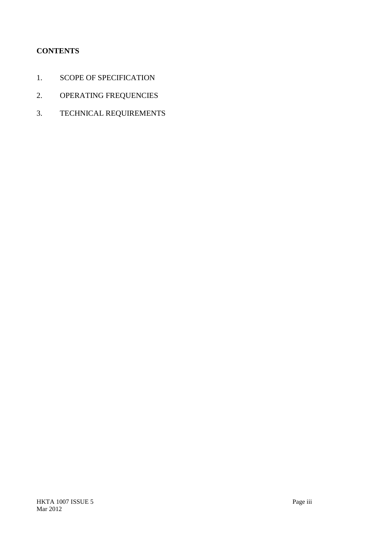# **CONTENTS**

- 1. SCOPE OF SPECIFICATION
- 2. OPERATING FREQUENCIES
- 3. TECHNICAL REQUIREMENTS